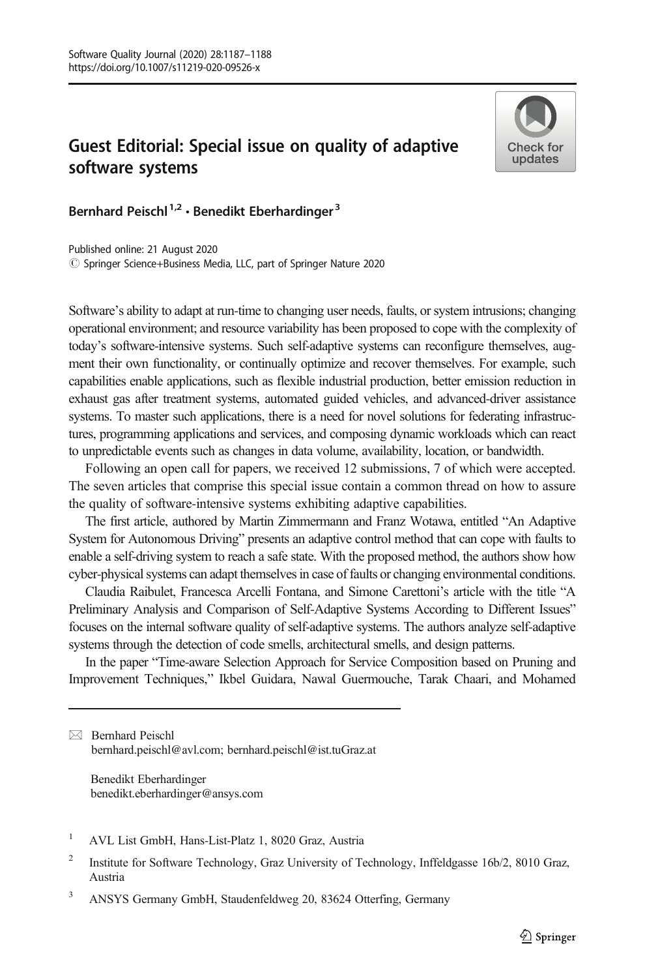## Guest Editorial: Special issue on quality of adaptive software systems



Bernhard Peischl<sup>1,2</sup> · Benedikt Eberhardinger<sup>3</sup>

© Springer Science+Business Media, LLC, part of Springer Nature 2020 Published online: 21 August 2020

Software's ability to adapt at run-time to changing user needs, faults, or system intrusions; changing operational environment; and resource variability has been proposed to cope with the complexity of today's software-intensive systems. Such self-adaptive systems can reconfigure themselves, augment their own functionality, or continually optimize and recover themselves. For example, such capabilities enable applications, such as flexible industrial production, better emission reduction in exhaust gas after treatment systems, automated guided vehicles, and advanced-driver assistance systems. To master such applications, there is a need for novel solutions for federating infrastructures, programming applications and services, and composing dynamic workloads which can react to unpredictable events such as changes in data volume, availability, location, or bandwidth.

Following an open call for papers, we received 12 submissions, 7 of which were accepted. The seven articles that comprise this special issue contain a common thread on how to assure the quality of software-intensive systems exhibiting adaptive capabilities.

The first article, authored by Martin Zimmermann and Franz Wotawa, entitled "An Adaptive System for Autonomous Driving" presents an adaptive control method that can cope with faults to enable a self-driving system to reach a safe state. With the proposed method, the authors show how cyber-physical systems can adapt themselves in case of faults or changing environmental conditions.

Claudia Raibulet, Francesca Arcelli Fontana, and Simone Carettoni's article with the title "A Preliminary Analysis and Comparison of Self-Adaptive Systems According to Different Issues" focuses on the internal software quality of self-adaptive systems. The authors analyze self-adaptive systems through the detection of code smells, architectural smells, and design patterns.

In the paper "Time-aware Selection Approach for Service Composition based on Pruning and Improvement Techniques," Ikbel Guidara, Nawal Guermouche, Tarak Chaari, and Mohamed

 $\boxtimes$  Bernhard Peischl [bernhard.peischl@avl.com](mailto:bernhard.peischl@avl.com); [bernhard.peischl@ist.tuGraz.at](mailto:bernhard.peischl@ist.tuGraz.at)

Benedikt Eberhardinger benedikt.eberhardinger@ansys.com

- <sup>1</sup> AVL List GmbH, Hans-List-Platz 1, 8020 Graz, Austria
- <sup>2</sup> Institute for Software Technology, Graz University of Technology, Inffeldgasse 16b/2, 8010 Graz, Austria

<sup>3</sup> ANSYS Germany GmbH, Staudenfeldweg 20, 83624 Otterfing, Germany